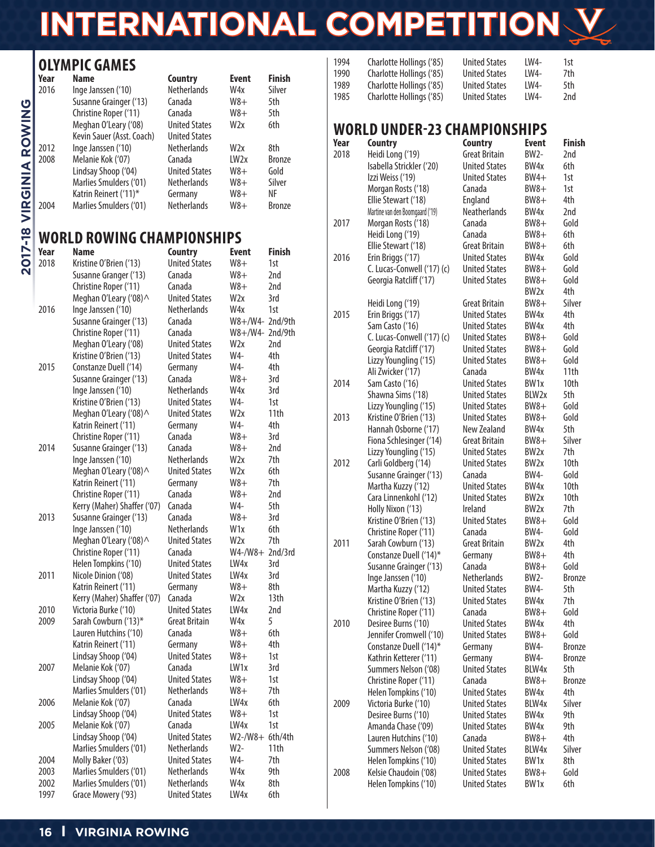# **INTERNATIONAL COMPETITION**

## **OLYMPIC GAMES**

| Year | <b>Name</b>               | Country              | <b>Event</b>     | <b>Finish</b> |
|------|---------------------------|----------------------|------------------|---------------|
| 2016 | Inge Janssen ('10)        | <b>Netherlands</b>   | W4x              | Silver        |
|      | Susanne Grainger ('13)    | Canada               | $W8+$            | 5th           |
|      | Christine Roper ('11)     | Canada               | $W8+$            | 5th           |
|      | Meghan O'Leary ('08)      | <b>United States</b> | W <sub>2x</sub>  | 6th           |
|      | Kevin Sauer (Asst. Coach) | <b>United States</b> |                  |               |
| 2012 | Inge Janssen ('10)        | <b>Netherlands</b>   | W <sub>2x</sub>  | 8th           |
| 2008 | Melanie Kok ('07)         | Canada               | LW <sub>2x</sub> | <b>Bronze</b> |
|      | Lindsay Shoop ('04)       | <b>United States</b> | $W8+$            | Gold          |
|      | Marlies Smulders ('01)    | <b>Netherlands</b>   | $W8+$            | Silver        |
|      | Katrin Reinert ('11)*     | Germany              | W8+              | ΝF            |
| 2004 | Marlies Smulders ('01)    | <b>Netherlands</b>   | W8+              | <b>Bronze</b> |

### **WORLD ROWING CHAMPIONSHIPS**

| Year | <b>Name</b>                 | <b>Country</b>       | <b>Event</b>           | <b>Finish</b>    |
|------|-----------------------------|----------------------|------------------------|------------------|
| 2018 | Kristine O'Brien ('13)      | <b>United States</b> | $W8+$                  | 1st              |
|      | Susanne Granger ('13)       | Canada               | $W8+$                  | 2nd              |
|      | Christine Roper ('11)       | Canada               | $W8+$                  | 2nd              |
|      | Meghan O'Leary ('08) ^      | <b>United States</b> | W2x                    | 3rd              |
| 2016 | Inge Janssen ('10)          | <b>Netherlands</b>   | W4x                    | 1st              |
|      | Susanne Grainger ('13)      | Canada               | W8+/W4- 2nd/9th        |                  |
|      | Christine Roper ('11)       | Canada               | W8+/W4- 2nd/9th        |                  |
|      | Meghan O'Leary ('08)        | <b>United States</b> | W <sub>2x</sub>        | 2nd              |
|      | Kristine O'Brien ('13)      | <b>United States</b> | W4-                    | 4th              |
| 2015 | Constanze Duell ('14)       | Germany              | W4-                    | 4th              |
|      | Susanne Grainger ('13)      | Canada               | $W8+$                  | 3rd              |
|      | Inge Janssen ('10)          | <b>Netherlands</b>   | W4x                    | 3rd              |
|      | Kristine O'Brien ('13)      | <b>United States</b> | W4-                    | 1st              |
|      | Meghan O'Leary ('08) ^      | <b>United States</b> | W <sub>2x</sub>        | 11th             |
|      | Katrin Reinert ('11)        | Germany              | W4-                    | 4th              |
|      | Christine Roper ('11)       | Canada               | $W8+$                  | 3rd              |
| 2014 | Susanne Grainger ('13)      | Canada               | $W8+$                  | 2nd              |
|      | Inge Janssen ('10)          | <b>Netherlands</b>   | W <sub>2x</sub>        | 7th              |
|      | Meghan O'Leary ('08) ^      | <b>United States</b> | W <sub>2x</sub>        | 6th              |
|      | Katrin Reinert ('11)        | Germany              | $W8+$                  | 7th              |
|      | Christine Roper ('11)       | Canada               | $W8+$                  | 2nd              |
|      | Kerry (Maher) Shaffer ('07) | Canada               | W4-                    | 5th              |
| 2013 | Susanne Grainger ('13)      | Canada               | $W8+$                  | 3rd              |
|      | Inge Janssen ('10)          | <b>Netherlands</b>   | W <sub>1</sub> x       | 6th              |
|      | Meghan O'Leary ('08) ^      | <b>United States</b> | W <sub>2x</sub>        | 7th              |
|      | Christine Roper ('11)       | Canada               | $W4$ -/ $W8$ + 2nd/3rd |                  |
|      | Helen Tompkins ('10)        | <b>United States</b> | LW4x                   | 3rd              |
| 2011 | Nicole Dinion ('08)         | <b>United States</b> | LW4x                   | 3rd              |
|      | Katrin Reinert ('11)        | Germany              | $W8+$                  | 8th              |
|      | Kerry (Maher) Shaffer ('07) | Canada               | W2x                    | 13 <sub>th</sub> |
| 2010 | Victoria Burke ('10)        | <b>United States</b> | LW4x                   | 2nd              |
| 2009 | Sarah Cowburn ('13)*        | <b>Great Britain</b> | W4x                    | 5                |
|      | Lauren Hutchins ('10)       | Canada               | $W8+$                  | 6th              |
|      | Katrin Reinert ('11)        | Germany              | $W8+$                  | 4th              |
|      | Lindsay Shoop ('04)         | <b>United States</b> | $W8+$                  | 1st              |
| 2007 | Melanie Kok ('07)           | Canada               | LW <sub>1x</sub>       | 3rd              |
|      | Lindsay Shoop ('04)         | <b>United States</b> | $W8+$                  | 1st              |
|      | Marlies Smulders ('01)      | <b>Netherlands</b>   | $W8+$                  | 7th              |
| 2006 | Melanie Kok ('07)           | Canada               | LW4x                   | 6th              |
|      | Lindsay Shoop ('04)         | <b>United States</b> | $W8+$                  | 1st              |
| 2005 | Melanie Kok ('07)           | Canada               | LW4x                   | 1st              |
|      | Lindsay Shoop ('04)         | <b>United States</b> | W2-/W8+ 6th/4th        |                  |
|      | Marlies Smulders ('01)      | <b>Netherlands</b>   | W2-                    | 11th             |
| 2004 | Molly Baker ('03)           | <b>United States</b> | W4-                    | 7th              |
| 2003 | Marlies Smulders ('01)      | <b>Netherlands</b>   | W4x                    | 9th              |
| 2002 | Marlies Smulders ('01)      | <b>Netherlands</b>   | W4x                    | 8th              |
| 1997 | Grace Mowery ('93)          | <b>United States</b> | LW <sub>4x</sub>       | 6th              |

| 1994 | Charlotte Hollings ('85) | <b>United States</b> | IW4-   | 1st |
|------|--------------------------|----------------------|--------|-----|
| 1990 | Charlotte Hollings ('85) | <b>United States</b> | IW4-   | 7th |
| 1989 | Charlotte Hollings ('85) | <b>United States</b> | $IW4-$ | 5th |
| 1985 | Charlotte Hollings ('85) | <b>United States</b> | IW4-   | 2nd |

### **WORLD UNDER-23 CHAMPIONSHIPS**

| Year | <b>Country</b>                  | <b>Country</b>       | Event             | <b>Finish</b> |
|------|---------------------------------|----------------------|-------------------|---------------|
| 2018 | Heidi Long ('19)                | <b>Great Britain</b> | <b>BW2-</b>       | 2nd           |
|      | Isabella Strickler ('20)        | <b>United States</b> | BW <sub>4x</sub>  | 6th           |
|      | Izzi Weiss ('19)                | <b>United States</b> | BW4+              | 1st           |
|      | Morgan Rosts ('18)              | Canada               | $BW8+$            | 1st           |
|      | Ellie Stewart ('18)             | England              | $BW8+$            | 4th           |
|      | Martine van den Boomgaard ('19) | Neatherlands         | BW <sub>4x</sub>  | 2nd           |
| 2017 | Morgan Rosts ('18)              | Canada               | $BW8+$            | Gold          |
|      | Heidi Long ('19)                | Canada               | $BW8+$            | 6th           |
|      | Ellie Stewart ('18)             | <b>Great Britain</b> | $BW8+$            | 6th           |
| 2016 | Erin Briggs ('17)               | <b>United States</b> | BW4x              | Gold          |
|      | C. Lucas-Conwell ('17) (c)      | <b>United States</b> | $BW8+$            | Gold          |
|      | Georgia Ratcliff ('17)          | <b>United States</b> | $BW8+$            | Gold          |
|      |                                 |                      | BW <sub>2x</sub>  | 4th           |
|      | Heidi Long ('19)                | Great Britain        | $BW8+$            | Silver        |
| 2015 | Erin Briggs ('17)               | <b>United States</b> | BW <sub>4x</sub>  | 4th           |
|      | Sam Casto ('16)                 | <b>United States</b> | BW <sub>4x</sub>  | 4th           |
|      | C. Lucas-Conwell ('17) (c)      | <b>United States</b> | $BW8+$            | Gold          |
|      | Georgia Ratcliff ('17)          | <b>United States</b> | $BW8+$            | Gold          |
|      | Lizzy Youngling ('15)           | <b>United States</b> | $BW8+$            | Gold          |
|      | Ali Zwicker ('17)               | Canada               | BW4x              | 11th          |
| 2014 | Sam Casto ('16)                 | <b>United States</b> | BW <sub>1x</sub>  | 10th          |
|      | Shawna Sims ('18)               | <b>United States</b> | BLW <sub>2x</sub> | 5th           |
|      | Lizzy Youngling ('15)           | <b>United States</b> | $BW8+$            | Gold          |
| 2013 | Kristine O'Brien ('13)          | <b>United States</b> | $BW8+$            | Gold          |
|      | Hannah Osborne ('17)            | New Zealand          | BW <sub>4x</sub>  | 5th           |
|      | Fiona Schlesinger ('14)         | Great Britain        | $BW8+$            | Silver        |
|      | Lizzy Youngling ('15)           | <b>United States</b> | BW <sub>2x</sub>  | 7th           |
| 2012 | Carli Goldberg ('14)            | <b>United States</b> | BW <sub>2x</sub>  | 10th          |
|      | Susanne Grainger ('13)          | Canada               | BW4-              | Gold          |
|      | Martha Kuzzy ('12)              | <b>United States</b> | BW <sub>4x</sub>  | 10th          |
|      | Cara Linnenkohl ('12)           | <b>United States</b> | BW <sub>2x</sub>  | 10th          |
|      | Holly Nixon ('13)               | Ireland              | BW <sub>2x</sub>  | 7th           |
|      | Kristine O'Brien ('13)          | <b>United States</b> | $BW8+$            | Gold          |
|      | Christine Roper ('11)           | Canada               | <b>BW4-</b>       | Gold          |
| 2011 | Sarah Cowburn ('13)             | <b>Great Britain</b> | BW <sub>2x</sub>  | 4th           |
|      | Constanze Duell ('14)*          | Germany              | $BW8+$            | 4th           |
|      | Susanne Grainger ('13)          | Canada               | $BW8+$            | Gold          |
|      | Inge Janssen ('10)              | <b>Netherlands</b>   | <b>BW2-</b>       | Bronze        |
|      | Martha Kuzzy ('12)              | <b>United States</b> | <b>BW4-</b>       | 5th           |
|      | Kristine O'Brien ('13)          | <b>United States</b> | BW4x              | 7th           |
|      | Christine Roper ('11)           | Canada               | $BW8+$            | Gold          |
| 2010 | Desiree Burns ('10)             | <b>United States</b> | BW <sub>4x</sub>  | 4th           |
|      | Jennifer Cromwell ('10)         | <b>United States</b> | $BW8+$            | Gold          |
|      | Constanze Duell ('14)*          | Germany              | BW4-              | <b>Bronze</b> |
|      | Kathrin Ketterer ('11)          | Germany              | BW4-              | <b>Bronze</b> |
|      | Summers Nelson ('08)            | <b>United States</b> | BLW4x             | 5th           |
|      | Christine Roper ('11)           | Canada               | $BW8+$            | Bronze        |
|      | Helen Tompkins ('10)            | <b>United States</b> | BW4x              | 4th           |
| 2009 | Victoria Burke ('10)            | <b>United States</b> | BLW4x             | Silver        |
|      | Desiree Burns ('10)             | <b>United States</b> | BW4x              | 9th           |
|      | Amanda Chase ('09)              | <b>United States</b> | BW4x              | 9th           |
|      | Lauren Hutchins ('10)           | Canada               | $BW8+$            | 4th           |
|      | Summers Nelson ('08)            | <b>United States</b> | BLW4x             | Silver        |
|      | Helen Tompkins ('10)            | <b>United States</b> | BW1x              | 8th           |
| 2008 | Kelsie Chaudoin ('08)           | <b>United States</b> | $BW8+$            | Gold          |
|      | Helen Tompkins ('10)            | <b>United States</b> | BW1x              | 6th           |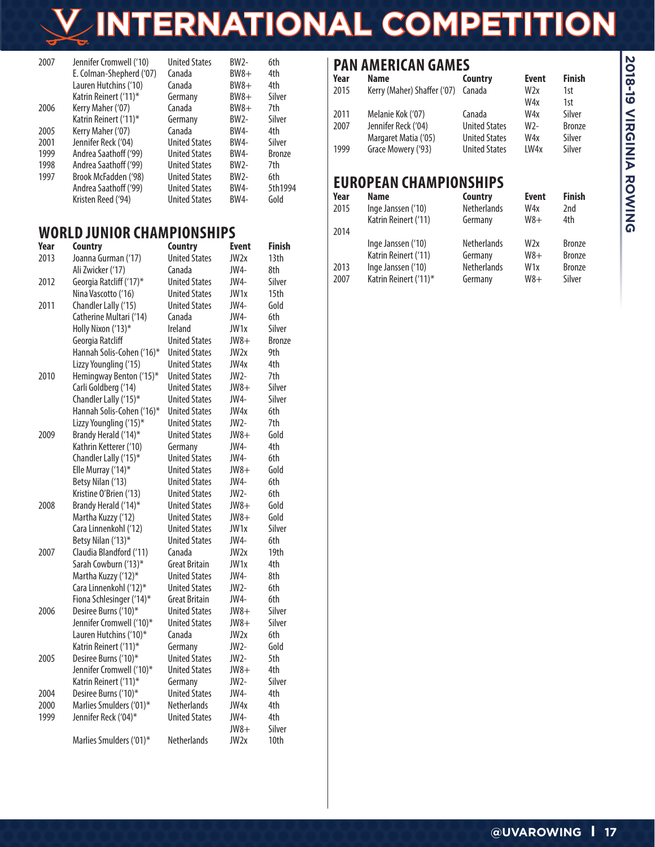# **INTERNATIONAL COMPETITION**

| 2007 | Jennifer Cromwell ('10)  | <b>United States</b> | B W <sub>2</sub> | 6th           |
|------|--------------------------|----------------------|------------------|---------------|
|      | E. Colman-Shepherd ('07) | Canada               | $BW8+$           | 4th           |
|      | Lauren Hutchins ('10)    | Canada               | $BW8+$           | 4th           |
|      | Katrin Reinert ('11)*    | Germany              | $BW8+$           | Silver        |
| 2006 | Kerry Maher ('07)        | Canada               | $BW8+$           | 7th           |
|      | Katrin Reinert ('11)*    | Germany              | <b>BW2-</b>      | Silver        |
| 2005 | Kerry Maher ('07)        | Canada               | BW4-             | 4th           |
| 2001 | Jennifer Reck ('04)      | <b>United States</b> | BW4-             | Silver        |
| 1999 | Andrea Saathoff ('99)    | <b>United States</b> | BW4-             | <b>Bronze</b> |
| 1998 | Andrea Saathoff ('99)    | <b>United States</b> | B W <sub>2</sub> | 7th           |
| 1997 | Brook McFadden ('98)     | <b>United States</b> | $B W2 -$         | 6th           |
|      | Andrea Saathoff ('99)    | <b>United States</b> | <b>BW4-</b>      | 5th1994       |
|      | Kristen Reed ('94)       | <b>United States</b> | <b>BW4-</b>      | Gold          |

#### **WORLD JUNIOR CHAMPIONSHIPS**

| Year | <b>Country</b>            | <b>Country</b>       | Event            | <b>Finish</b> |
|------|---------------------------|----------------------|------------------|---------------|
| 2013 | Joanna Gurman ('17)       | <b>United States</b> | JW <sub>2x</sub> | 13th          |
|      | Ali Zwicker ('17)         | Canada               | JW4-             | 8th           |
| 2012 | Georgia Ratcliff ('17)*   | <b>United States</b> | JW4-             | Silver        |
|      | Nina Vascotto ('16)       | <b>United States</b> | JW1x             | 15th          |
| 2011 | Chandler Lally ('15)      | <b>United States</b> | JW4-             | Gold          |
|      | Catherine Multari ('14)   | Canada               | JW4-             | 6th           |
|      | Holly Nixon ('13)*        | Ireland              | JW1x             | Silver        |
|      | Georgia Ratcliff          | <b>United States</b> | $JW8+$           | <b>Bronze</b> |
|      | Hannah Solis-Cohen ('16)* | <b>United States</b> | JW2x             | 9th           |
|      | Lizzy Youngling ('15)     | <b>United States</b> | JW4x             | 4th           |
| 2010 | Hemingway Benton ('15)*   | <b>United States</b> | JW2-             | 7th           |
|      | Carli Goldberg ('14)      | <b>United States</b> | $JW8+$           | Silver        |
|      | Chandler Lally ('15)*     | <b>United States</b> | JW4-             | Silver        |
|      | Hannah Solis-Cohen ('16)* | <b>United States</b> | JW4x             | 6th           |
|      | Lizzy Youngling ('15)*    | <b>United States</b> | $JW2-$           | 7th           |
| 2009 | Brandy Herald ('14)*      | <b>United States</b> | JW8+             | Gold          |
|      | Kathrin Ketterer ('10)    | Germany              | JW4-             | 4th           |
|      | Chandler Lally ('15)*     | <b>United States</b> | JW4-             | 6th           |
|      | Elle Murray ('14)*        | <b>United States</b> | $JW8+$           | Gold          |
|      | Betsy Nilan ('13)         | <b>United States</b> | JW4-             | 6th           |
|      | Kristine O'Brien ('13)    | <b>United States</b> | JW2-             | 6th           |
| 2008 | Brandy Herald ('14)*      | <b>United States</b> | $JW8+$           | Gold          |
|      | Martha Kuzzy ('12)        | <b>United States</b> | $JW8+$           | Gold          |
|      | Cara Linnenkohl ('12)     | <b>United States</b> | JW <sub>1x</sub> | Silver        |
|      | Betsy Nilan ('13)*        | <b>United States</b> | JW4-             | 6th           |
| 2007 | Claudia Blandford ('11)   | Canada               | JW <sub>2x</sub> | 19th          |
|      | Sarah Cowburn ('13)*      | Great Britain        | JW1x             | 4th           |
|      | Martha Kuzzy ('12)*       | <b>United States</b> | JW4-             | 8th           |
|      | Cara Linnenkohl ('12)*    | <b>United States</b> | JW2-             | 6th           |
|      | Fiona Schlesinger ('14)*  | <b>Great Britain</b> | JW4-             | 6th           |
| 2006 | Desiree Burns ('10)*      | <b>United States</b> | $JW8+$           | Silver        |
|      | Jennifer Cromwell ('10)*  | <b>United States</b> | $JW8+$           | Silver        |
|      | Lauren Hutchins ('10)*    | Canada               | JW <sub>2x</sub> | 6th           |
|      | Katrin Reinert ('11)*     | Germany              | JW2-             | Gold          |
| 2005 | Desiree Burns ('10)*      | <b>United States</b> | JW2-             | 5th           |
|      | Jennifer Cromwell ('10)*  | <b>United States</b> | $JW8+$           | 4th           |
|      | Katrin Reinert ('11)*     | Germany              | JW2-             | Silver        |
| 2004 | Desiree Burns ('10)*      | <b>United States</b> | JW4-             | 4th           |
| 2000 | Marlies Smulders ('01)*   | <b>Netherlands</b>   | JW4x             | 4th           |
| 1999 | Jennifer Reck ('04)*      | <b>United States</b> | JW4-             | 4th           |
|      |                           |                      | $JW8+$           | Silver        |
|      | Marlies Smulders ('01)*   | <b>Netherlands</b>   | JW2x             | 10th          |
|      |                           |                      |                  |               |

#### **PAN AMERICAN GAMES**

| Year | <b>Name</b>                 | Country              | <b>Event</b>    | <b>Finish</b> |
|------|-----------------------------|----------------------|-----------------|---------------|
| 2015 | Kerry (Maher) Shaffer ('07) | Canada               | W <sub>2x</sub> | 1st           |
|      |                             |                      | W4x             | 1st           |
| 2011 | Melanie Kok ('07)           | Canada               | W4x             | Silver        |
| 2007 | Jennifer Reck ('04)         | <b>United States</b> | W <sub>2</sub>  | <b>Bronze</b> |
|      | Margaret Matia ('05)        | <b>United States</b> | W4x             | Silver        |
| 1999 | Grace Mowery ('93)          | <b>United States</b> | LW4x            | Silver        |
|      |                             |                      |                 |               |
|      |                             |                      |                 |               |

#### **EUROPEAN CHAMPIONSHIPS**

| Year | <b>Name</b>           | Country            | <b>Event</b>    | <b>Finish</b> |
|------|-----------------------|--------------------|-----------------|---------------|
| 2015 | Inge Janssen ('10)    | <b>Netherlands</b> | W4x             | 2nd           |
|      | Katrin Reinert ('11)  | Germany            | $W8+$           | 4th           |
| 2014 |                       |                    |                 |               |
|      | Inge Janssen ('10)    | <b>Netherlands</b> | W <sub>2x</sub> | <b>Bronze</b> |
|      | Katrin Reinert ('11)  | Germany            | $W8+$           | <b>Bronze</b> |
| 2013 | Inge Janssen ('10)    | <b>Netherlands</b> | W <sub>1x</sub> | <b>Bronze</b> |
| 2007 | Katrin Reinert ('11)* | Germany            | $W8+$           | Silver        |
|      |                       |                    |                 |               |